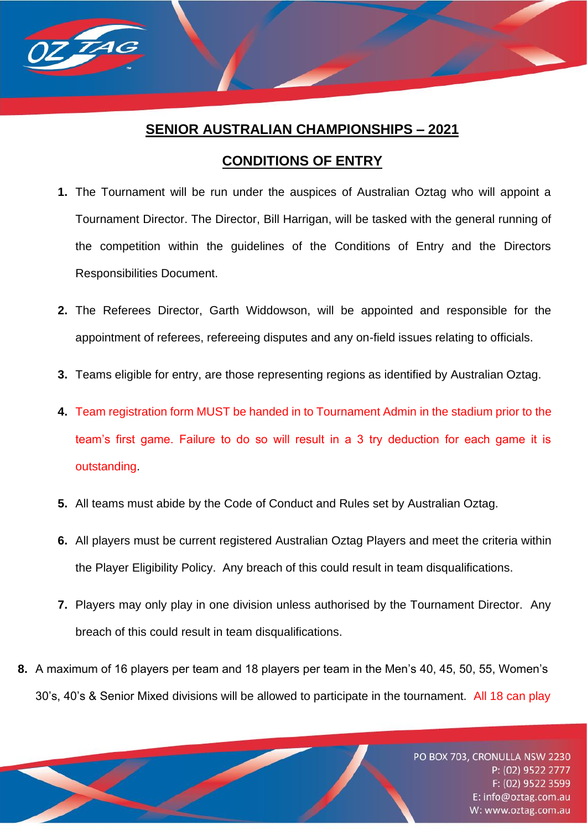# **SENIOR AUSTRALIAN CHAMPIONSHIPS – 2021**

 $\overline{7}$ Ad

# **CONDITIONS OF ENTRY**

- **1.** The Tournament will be run under the auspices of Australian Oztag who will appoint a Tournament Director. The Director, Bill Harrigan, will be tasked with the general running of the competition within the guidelines of the Conditions of Entry and the Directors Responsibilities Document.
- **2.** The Referees Director, Garth Widdowson, will be appointed and responsible for the appointment of referees, refereeing disputes and any on-field issues relating to officials.
- **3.** Teams eligible for entry, are those representing regions as identified by Australian Oztag.
- **4.** Team registration form MUST be handed in to Tournament Admin in the stadium prior to the team's first game. Failure to do so will result in a 3 try deduction for each game it is outstanding.
- **5.** All teams must abide by the Code of Conduct and Rules set by Australian Oztag.
- **6.** All players must be current registered Australian Oztag Players and meet the criteria within the Player Eligibility Policy. Any breach of this could result in team disqualifications.
- **7.** Players may only play in one division unless authorised by the Tournament Director. Any breach of this could result in team disqualifications.
- **8.** A maximum of 16 players per team and 18 players per team in the Men's 40, 45, 50, 55, Women's 30's, 40's & Senior Mixed divisions will be allowed to participate in the tournament. All 18 can play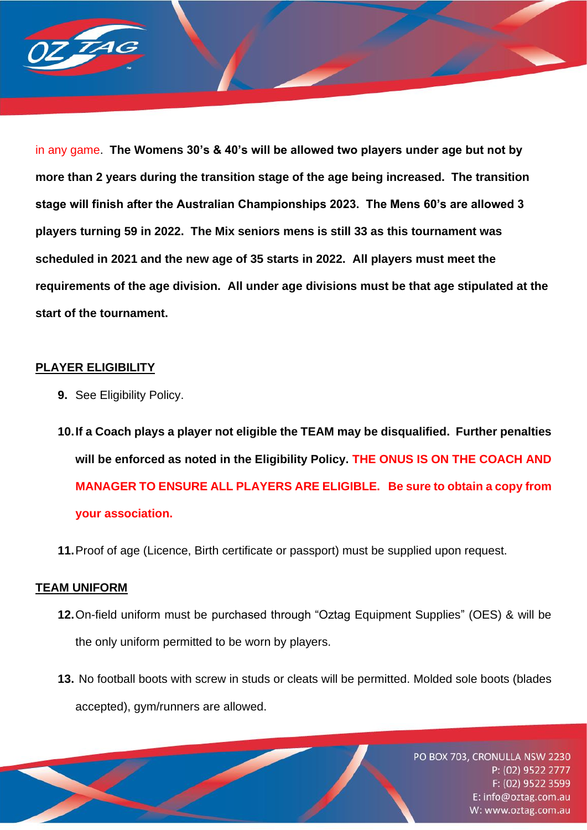

in any game. **The Womens 30's & 40's will be allowed two players under age but not by more than 2 years during the transition stage of the age being increased. The transition stage will finish after the Australian Championships 2023. The Mens 60's are allowed 3 players turning 59 in 2022. The Mix seniors mens is still 33 as this tournament was scheduled in 2021 and the new age of 35 starts in 2022. All players must meet the requirements of the age division. All under age divisions must be that age stipulated at the start of the tournament.**

### **PLAYER ELIGIBILITY**

**9.** See Eligibility Policy.

**10.If a Coach plays a player not eligible the TEAM may be disqualified. Further penalties will be enforced as noted in the Eligibility Policy. THE ONUS IS ON THE COACH AND MANAGER TO ENSURE ALL PLAYERS ARE ELIGIBLE. Be sure to obtain a copy from your association.**

**11.**Proof of age (Licence, Birth certificate or passport) must be supplied upon request.

#### **TEAM UNIFORM**

- **12.**On-field uniform must be purchased through "Oztag Equipment Supplies" (OES) & will be the only uniform permitted to be worn by players.
- **13.** No football boots with screw in studs or cleats will be permitted. Molded sole boots (blades accepted), gym/runners are allowed.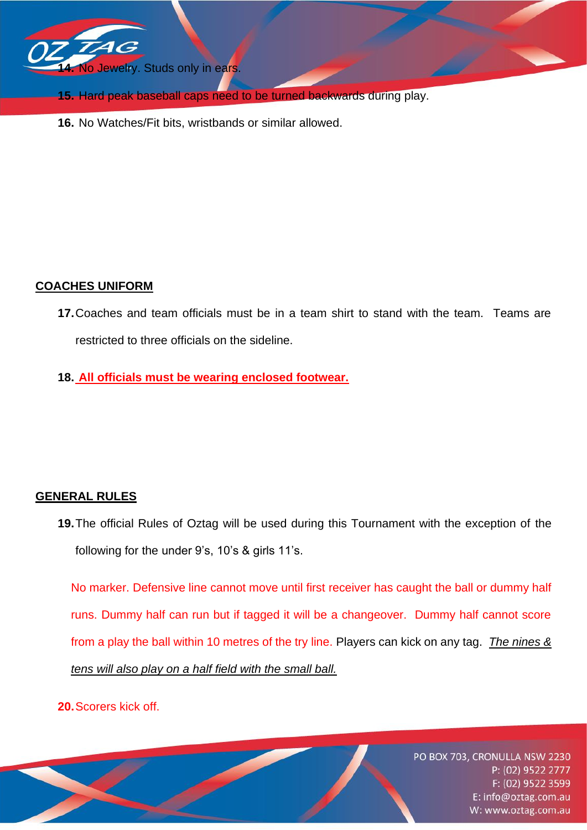

- **15.** Hard peak baseball caps need to be turned backwards during play.
- **16.** No Watches/Fit bits, wristbands or similar allowed.

# **COACHES UNIFORM**

- **17.**Coaches and team officials must be in a team shirt to stand with the team. Teams are restricted to three officials on the sideline.
- **18. All officials must be wearing enclosed footwear.**

# **GENERAL RULES**

**19.**The official Rules of Oztag will be used during this Tournament with the exception of the following for the under 9's, 10's & girls 11's.

No marker. Defensive line cannot move until first receiver has caught the ball or dummy half runs. Dummy half can run but if tagged it will be a changeover. Dummy half cannot score from a play the ball within 10 metres of the try line. Players can kick on any tag. *The nines & tens will also play on a half field with the small ball.*

**20.**Scorers kick off.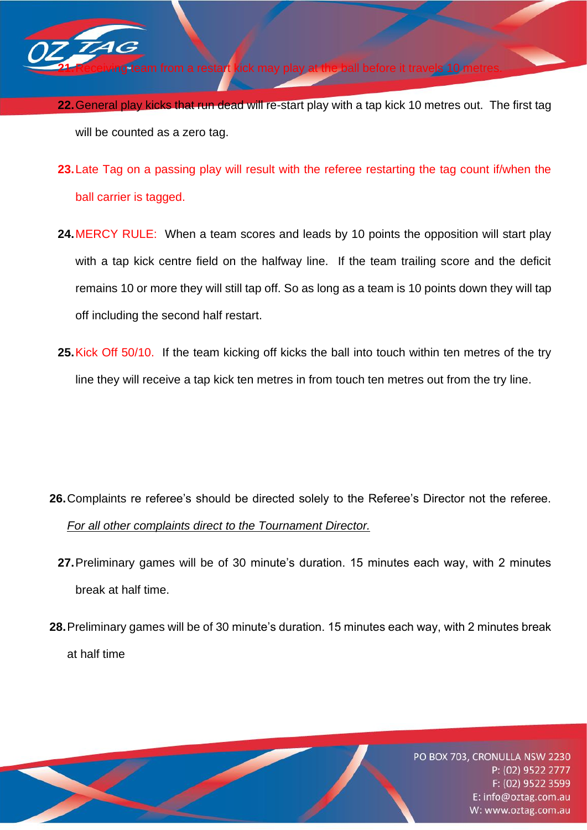

**22.**Receiving a restart kick may

- **22.**General play kicks that run dead will re-start play with a tap kick 10 metres out. The first tag will be counted as a zero tag.
- **23.**Late Tag on a passing play will result with the referee restarting the tag count if/when the ball carrier is tagged.
- **24.**MERCY RULE: When a team scores and leads by 10 points the opposition will start play with a tap kick centre field on the halfway line. If the team trailing score and the deficit remains 10 or more they will still tap off. So as long as a team is 10 points down they will tap off including the second half restart.
- **25.**Kick Off 50/10. If the team kicking off kicks the ball into touch within ten metres of the try line they will receive a tap kick ten metres in from touch ten metres out from the try line.

- **26.**Complaints re referee's should be directed solely to the Referee's Director not the referee. *For all other complaints direct to the Tournament Director.*
	- **27.**Preliminary games will be of 30 minute's duration. 15 minutes each way, with 2 minutes break at half time.
- **28.**Preliminary games will be of 30 minute's duration. 15 minutes each way, with 2 minutes break at half time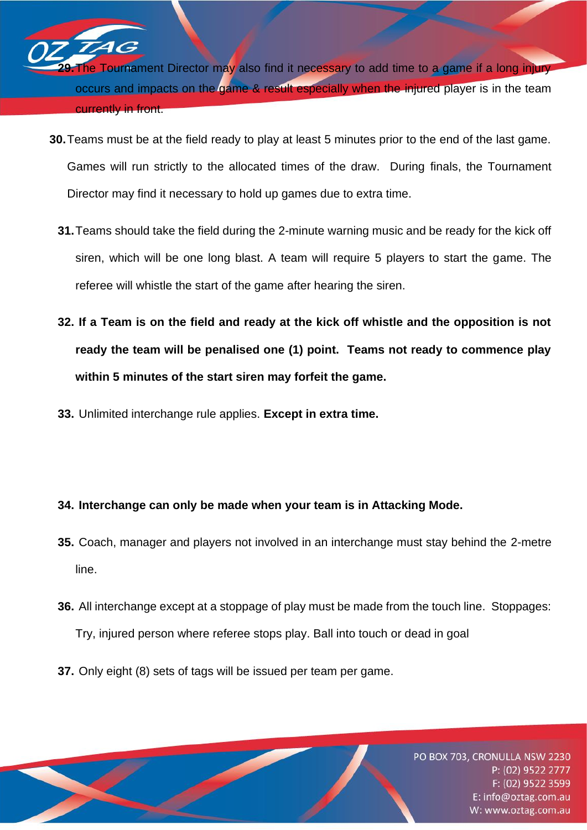**The Tournament Director may also find it necessary to add time to a game if a long injury** occurs and impacts on the game & result especially when the injured player is in the team currently in front.

- **30.**Teams must be at the field ready to play at least 5 minutes prior to the end of the last game. Games will run strictly to the allocated times of the draw. During finals, the Tournament Director may find it necessary to hold up games due to extra time.
	- **31.**Teams should take the field during the 2-minute warning music and be ready for the kick off siren, which will be one long blast. A team will require 5 players to start the game. The referee will whistle the start of the game after hearing the siren.
	- **32. If a Team is on the field and ready at the kick off whistle and the opposition is not ready the team will be penalised one (1) point. Teams not ready to commence play within 5 minutes of the start siren may forfeit the game.**
	- **33.** Unlimited interchange rule applies. **Except in extra time.**

46

# **34. Interchange can only be made when your team is in Attacking Mode.**

- **35.** Coach, manager and players not involved in an interchange must stay behind the 2-metre line.
- **36.** All interchange except at a stoppage of play must be made from the touch line. Stoppages: Try, injured person where referee stops play. Ball into touch or dead in goal
- **37.** Only eight (8) sets of tags will be issued per team per game.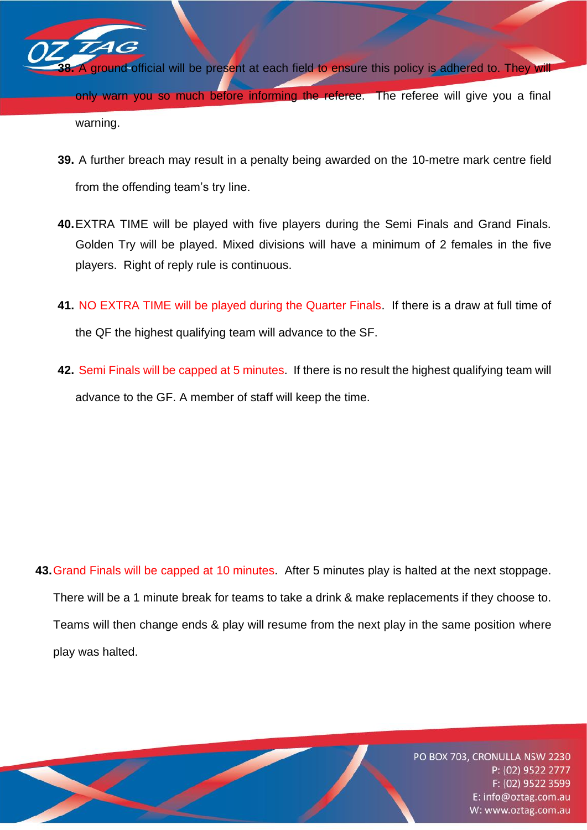$\boldsymbol{\mathcal{A}}$   $\boldsymbol{\mathcal{G}}$ ground official will be present at each field to ensure this policy is adhered to. They will only warn you so much before informing the referee. The referee will give you a final warning.

- **39.** A further breach may result in a penalty being awarded on the 10-metre mark centre field from the offending team's try line.
- **40.**EXTRA TIME will be played with five players during the Semi Finals and Grand Finals. Golden Try will be played. Mixed divisions will have a minimum of 2 females in the five players. Right of reply rule is continuous.
- **41.** NO EXTRA TIME will be played during the Quarter Finals. If there is a draw at full time of the QF the highest qualifying team will advance to the SF.
- **42.** Semi Finals will be capped at 5 minutes. If there is no result the highest qualifying team will advance to the GF. A member of staff will keep the time.

**43.**Grand Finals will be capped at 10 minutes. After 5 minutes play is halted at the next stoppage. There will be a 1 minute break for teams to take a drink & make replacements if they choose to. Teams will then change ends & play will resume from the next play in the same position where play was halted.

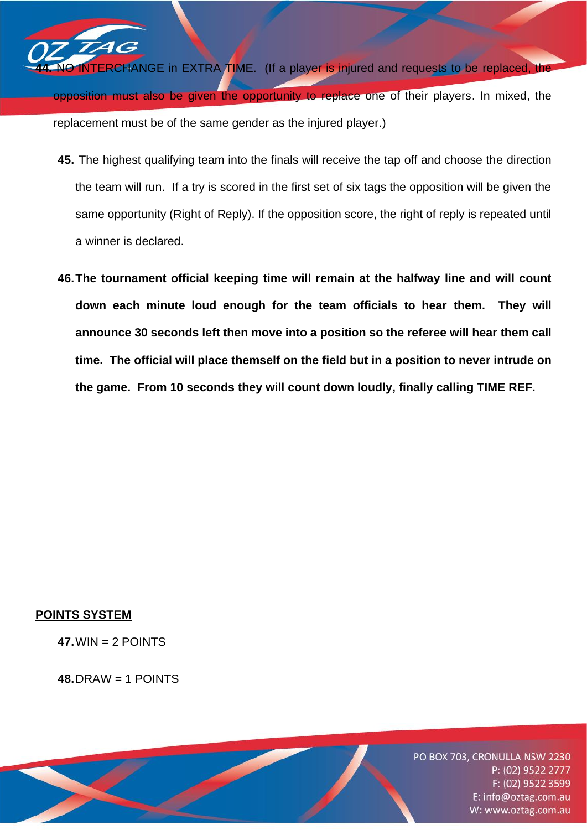**ERCHANGE** in EXTRA TIME. (If a player is injured and requests to be replaced, the opposition must also be given the opportunity to replace one of their players. In mixed, the replacement must be of the same gender as the injured player.)

- **45.** The highest qualifying team into the finals will receive the tap off and choose the direction the team will run. If a try is scored in the first set of six tags the opposition will be given the same opportunity (Right of Reply). If the opposition score, the right of reply is repeated until a winner is declared.
- **46.The tournament official keeping time will remain at the halfway line and will count down each minute loud enough for the team officials to hear them. They will announce 30 seconds left then move into a position so the referee will hear them call time. The official will place themself on the field but in a position to never intrude on the game. From 10 seconds they will count down loudly, finally calling TIME REF.**

# **POINTS SYSTEM**

**47.**WIN = 2 POINTS

**48.**DRAW = 1 POINTS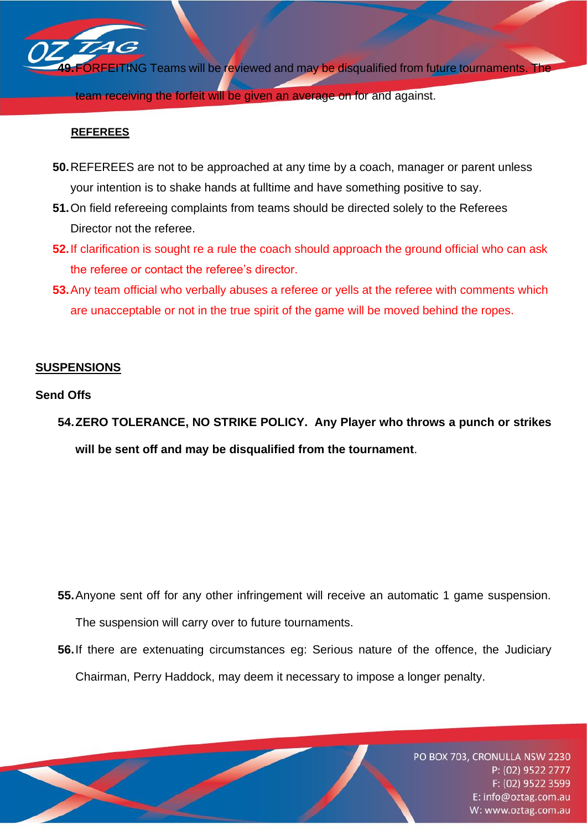

**REFEREES**

- **50.**REFEREES are not to be approached at any time by a coach, manager or parent unless your intention is to shake hands at fulltime and have something positive to say.
- **51.**On field refereeing complaints from teams should be directed solely to the Referees Director not the referee.
- **52.**If clarification is sought re a rule the coach should approach the ground official who can ask the referee or contact the referee's director.
- **53.**Any team official who verbally abuses a referee or yells at the referee with comments which are unacceptable or not in the true spirit of the game will be moved behind the ropes.

## **SUSPENSIONS**

### **Send Offs**

**54.ZERO TOLERANCE, NO STRIKE POLICY. Any Player who throws a punch or strikes**

**will be sent off and may be disqualified from the tournament**.

**55.**Anyone sent off for any other infringement will receive an automatic 1 game suspension.

The suspension will carry over to future tournaments.

**56.**If there are extenuating circumstances eg: Serious nature of the offence, the Judiciary Chairman, Perry Haddock, may deem it necessary to impose a longer penalty.

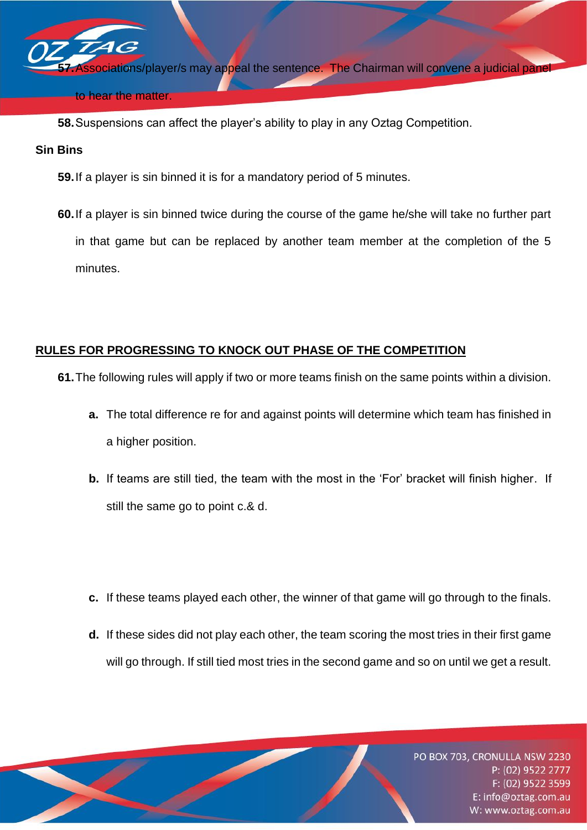**pciations/player/s may appeal the sentence. The Chairman will convene a judicial pane** 

#### to hear the matter.

**58.**Suspensions can affect the player's ability to play in any Oztag Competition.

### **Sin Bins**

- **59.**If a player is sin binned it is for a mandatory period of 5 minutes.
- **60.**If a player is sin binned twice during the course of the game he/she will take no further part in that game but can be replaced by another team member at the completion of the 5 minutes.

# **RULES FOR PROGRESSING TO KNOCK OUT PHASE OF THE COMPETITION**

- **61.**The following rules will apply if two or more teams finish on the same points within a division.
	- **a.** The total difference re for and against points will determine which team has finished in a higher position.
	- **b.** If teams are still tied, the team with the most in the 'For' bracket will finish higher. If still the same go to point c.& d.
	- **c.** If these teams played each other, the winner of that game will go through to the finals.
	- **d.** If these sides did not play each other, the team scoring the most tries in their first game will go through. If still tied most tries in the second game and so on until we get a result.

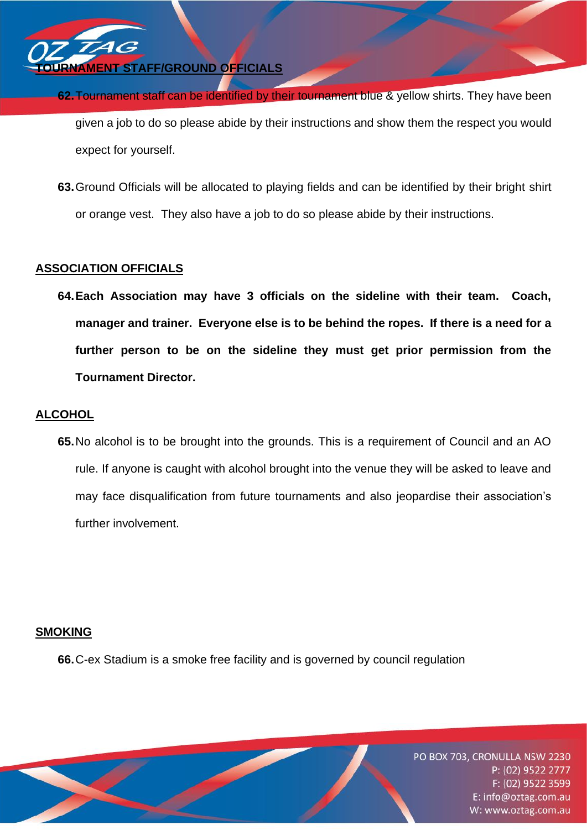

- **62.**Tournament staff can be identified by their tournament blue & yellow shirts. They have been given a job to do so please abide by their instructions and show them the respect you would expect for yourself.
- **63.**Ground Officials will be allocated to playing fields and can be identified by their bright shirt or orange vest. They also have a job to do so please abide by their instructions.

# **ASSOCIATION OFFICIALS**

**64.Each Association may have 3 officials on the sideline with their team. Coach, manager and trainer. Everyone else is to be behind the ropes. If there is a need for a further person to be on the sideline they must get prior permission from the Tournament Director.**

## **ALCOHOL**

**65.**No alcohol is to be brought into the grounds. This is a requirement of Council and an AO rule. If anyone is caught with alcohol brought into the venue they will be asked to leave and may face disqualification from future tournaments and also jeopardise their association's further involvement.

### **SMOKING**

**66.**C-ex Stadium is a smoke free facility and is governed by council regulation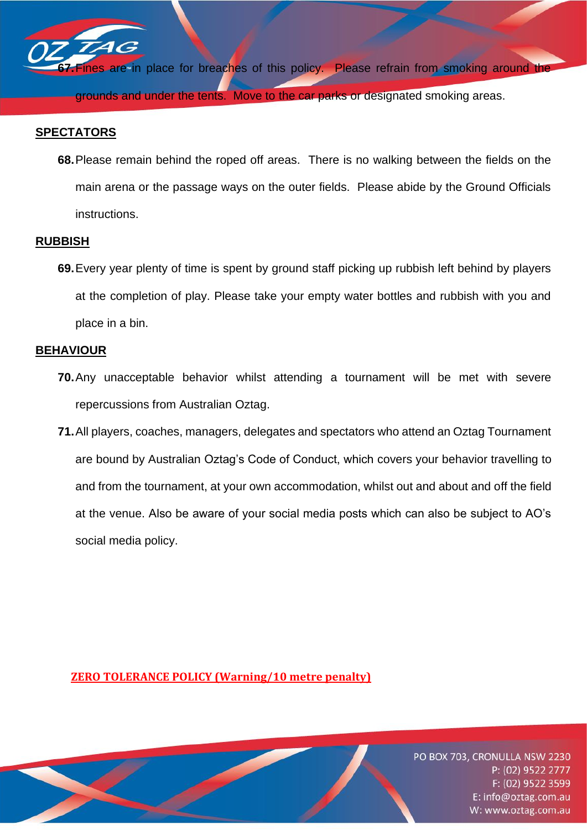

ines are in place for breaches of this policy. Please refrain from smoking around the grounds and under the tents. Move to the car parks or designated smoking areas.

## **SPECTATORS**

**68.**Please remain behind the roped off areas. There is no walking between the fields on the main arena or the passage ways on the outer fields. Please abide by the Ground Officials instructions.

### **RUBBISH**

**69.**Every year plenty of time is spent by ground staff picking up rubbish left behind by players at the completion of play. Please take your empty water bottles and rubbish with you and place in a bin.

### **BEHAVIOUR**

- **70.**Any unacceptable behavior whilst attending a tournament will be met with severe repercussions from Australian Oztag.
- **71.**All players, coaches, managers, delegates and spectators who attend an Oztag Tournament are bound by Australian Oztag's Code of Conduct, which covers your behavior travelling to and from the tournament, at your own accommodation, whilst out and about and off the field at the venue. Also be aware of your social media posts which can also be subject to AO's social media policy.

**ZERO TOLERANCE POLICY (Warning/10 metre penalty)**